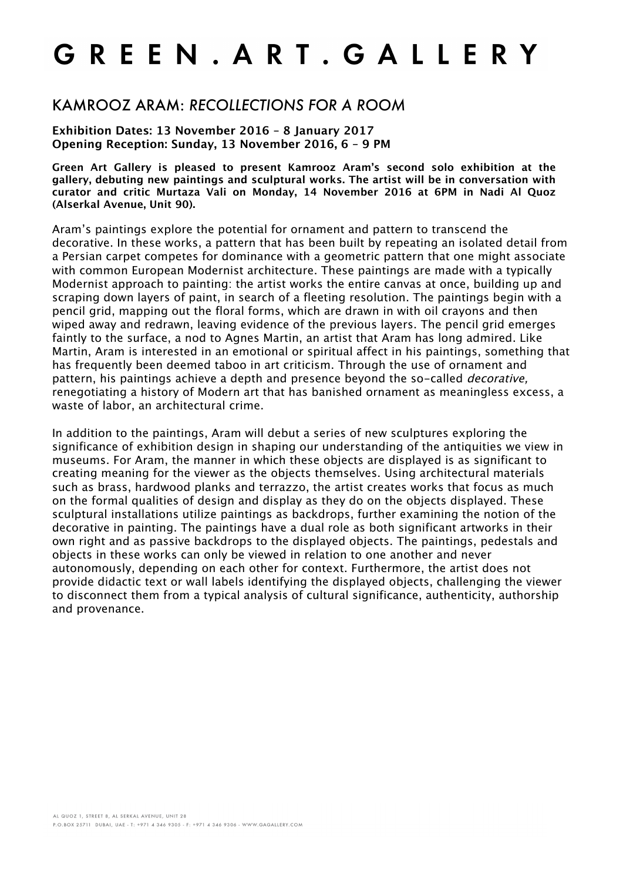## GREEN. ART. GALLERY

## KAMROOZ ARAM: *RECOLLECTIONS FOR A ROOM*

**Exhibition Dates: 13 November 2016 – 8 January 2017 Opening Reception: Sunday, 13 November 2016, 6 – 9 PM**

**Green Art Gallery is pleased to present Kamrooz Aram's second solo exhibition at the gallery, debuting new paintings and sculptural works. The artist will be in conversation with curator and critic Murtaza Vali on Monday, 14 November 2016 at 6PM in Nadi Al Quoz (Alserkal Avenue, Unit 90).**

Aram's paintings explore the potential for ornament and pattern to transcend the decorative. In these works, a pattern that has been built by repeating an isolated detail from a Persian carpet competes for dominance with a geometric pattern that one might associate with common European Modernist architecture. These paintings are made with a typically Modernist approach to painting: the artist works the entire canvas at once, building up and scraping down layers of paint, in search of a fleeting resolution. The paintings begin with a pencil grid, mapping out the floral forms, which are drawn in with oil crayons and then wiped away and redrawn, leaving evidence of the previous layers. The pencil grid emerges faintly to the surface, a nod to Agnes Martin, an artist that Aram has long admired. Like Martin, Aram is interested in an emotional or spiritual affect in his paintings, something that has frequently been deemed taboo in art criticism. Through the use of ornament and pattern, his paintings achieve a depth and presence beyond the so-called decorative, renegotiating a history of Modern art that has banished ornament as meaningless excess, a waste of labor, an architectural crime.

In addition to the paintings, Aram will debut a series of new sculptures exploring the significance of exhibition design in shaping our understanding of the antiquities we view in museums. For Aram, the manner in which these objects are displayed is as significant to creating meaning for the viewer as the objects themselves. Using architectural materials such as brass, hardwood planks and terrazzo, the artist creates works that focus as much on the formal qualities of design and display as they do on the objects displayed. These sculptural installations utilize paintings as backdrops, further examining the notion of the decorative in painting. The paintings have a dual role as both significant artworks in their own right and as passive backdrops to the displayed objects. The paintings, pedestals and objects in these works can only be viewed in relation to one another and never autonomously, depending on each other for context. Furthermore, the artist does not provide didactic text or wall labels identifying the displayed objects, challenging the viewer to disconnect them from a typical analysis of cultural significance, authenticity, authorship and provenance.